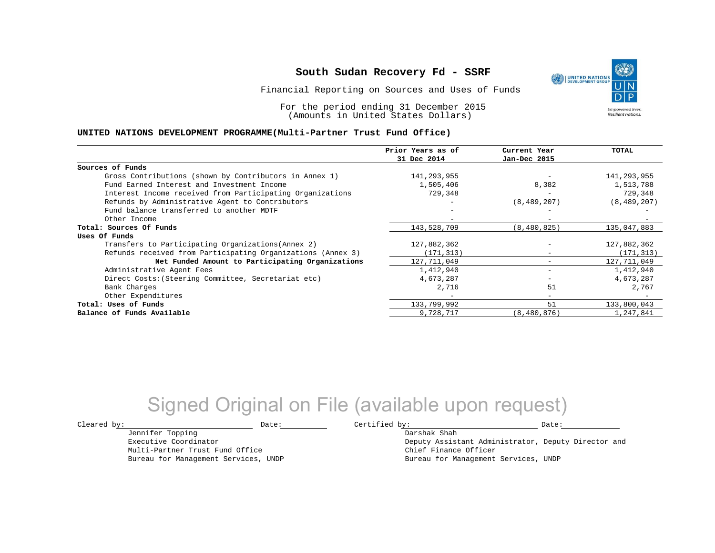Financial Reporting on Sources and Uses of Funds

For the period ending 31 December 2015 (Amounts in United States Dollars)

#### **UNITED NATIONS DEVELOPMENT PROGRAMME(Multi-Partner Trust Fund Office)**

|                                                             | Prior Years as of<br>31 Dec 2014 | Current Year<br>Jan-Dec 2015 | <b>TOTAL</b>  |
|-------------------------------------------------------------|----------------------------------|------------------------------|---------------|
|                                                             |                                  |                              |               |
| Sources of Funds                                            |                                  |                              |               |
| Gross Contributions (shown by Contributors in Annex 1)      | 141,293,955                      |                              | 141,293,955   |
| Fund Earned Interest and Investment Income                  | 1,505,406                        | 8,382                        | 1,513,788     |
| Interest Income received from Participating Organizations   | 729,348                          | $\overline{\phantom{0}}$     | 729,348       |
| Refunds by Administrative Agent to Contributors             |                                  | (8, 489, 207)                | (8, 489, 207) |
| Fund balance transferred to another MDTF                    |                                  |                              |               |
| Other Income                                                |                                  |                              |               |
| Total: Sources Of Funds                                     | 143,528,709                      | (8, 480, 825)                | 135,047,883   |
| Uses Of Funds                                               |                                  |                              |               |
| Transfers to Participating Organizations (Annex 2)          | 127,882,362                      |                              | 127,882,362   |
| Refunds received from Participating Organizations (Annex 3) | (171, 313)                       | $\qquad \qquad -$            | (171, 313)    |
| Net Funded Amount to Participating Organizations            | 127,711,049                      |                              | 127,711,049   |
| Administrative Agent Fees                                   | 1,412,940                        | $\qquad \qquad \blacksquare$ | 1,412,940     |
| Direct Costs: (Steering Committee, Secretariat etc)         | 4,673,287                        |                              | 4,673,287     |
| Bank Charges                                                | 2,716                            | 51                           | 2,767         |
| Other Expenditures                                          |                                  | $\sim$                       |               |
| Total: Uses of Funds                                        | 133,799,992                      | 51                           | 133,800,043   |
| Balance of Funds Available                                  | 9,728,717                        | (8, 480, 876)                | 1,247,841     |

## Signed Original on File (available upon request)

Jennifer Topping Executive Coordinator Multi-Partner Trust Fund Office Bureau for Management Services, UNDP

 $\texttt{Cleared by:}\footnotesize \begin{minipage}{0.9\linewidth} \texttt{Date:}\footnotesize \begin{minipage}{0.9\linewidth} \texttt{Date:}\footnotesize \begin{minipage}{0.9\linewidth} \end{minipage} \end{minipage}$ 

Darshak Shah Deputy Assistant Administrator, Deputy Director and Chief Finance Officer Bureau for Management Services, UNDP

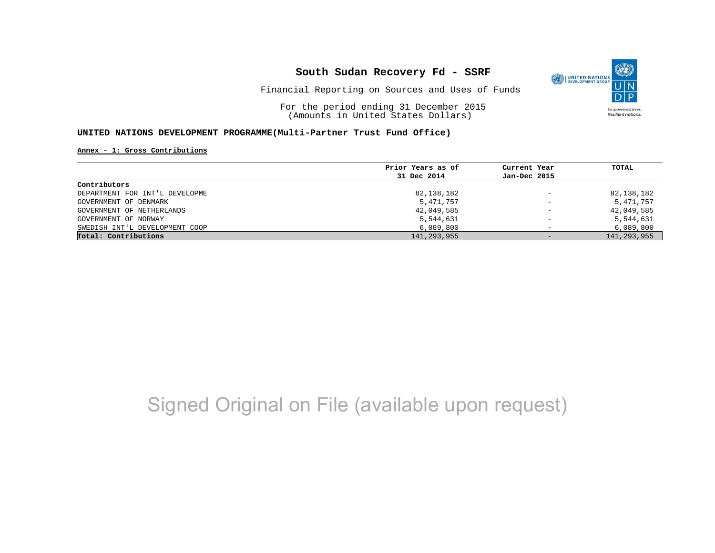

Financial Reporting on Sources and Uses of Funds

For the period ending 31 December 2015 (Amounts in United States Dollars)

#### **UNITED NATIONS DEVELOPMENT PROGRAMME(Multi-Partner Trust Fund Office)**

**Annex - 1: Gross Contributions**

|                                | Prior Years as of | Current Year             | TOTAL         |
|--------------------------------|-------------------|--------------------------|---------------|
|                                | 31 Dec 2014       | Jan-Dec 2015             |               |
| Contributors                   |                   |                          |               |
| DEPARTMENT FOR INT'L DEVELOPME | 82,138,182        | $\qquad \qquad -$        | 82,138,182    |
| GOVERNMENT OF DENMARK          | 5,471,757         | $\overline{\phantom{a}}$ | 5,471,757     |
| GOVERNMENT OF NETHERLANDS      | 42,049,585        | $\qquad \qquad -$        | 42,049,585    |
| GOVERNMENT OF NORWAY           | 5,544,631         | $\overline{\phantom{0}}$ | 5,544,631     |
| SWEDISH INT'L DEVELOPMENT COOP | 6,089,800         |                          | 6,089,800     |
| Total: Contributions           | 141,293,955       | $-$                      | 141, 293, 955 |

# Signed Original on File (available upon request)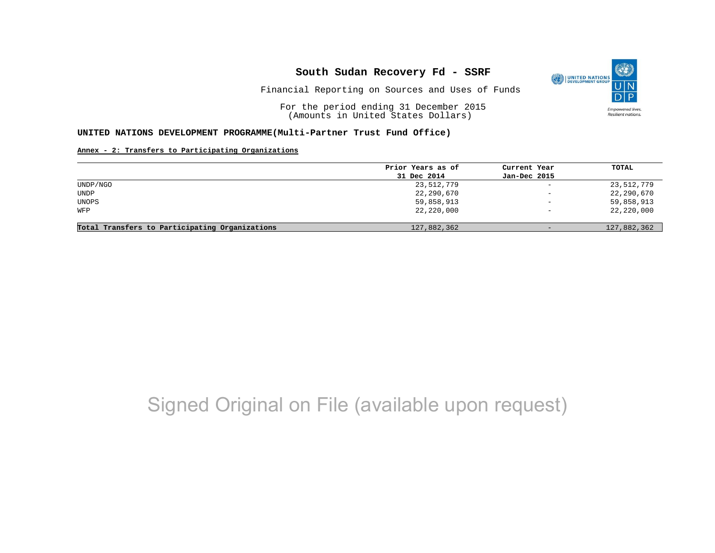

Financial Reporting on Sources and Uses of Funds

For the period ending 31 December 2015 (Amounts in United States Dollars)

#### **UNITED NATIONS DEVELOPMENT PROGRAMME(Multi-Partner Trust Fund Office)**

#### **Annex - 2: Transfers to Participating Organizations**

|                                                | Prior Years as of | Current Year             | TOTAL       |
|------------------------------------------------|-------------------|--------------------------|-------------|
|                                                | 31 Dec 2014       | Jan-Dec 2015             |             |
| UNDP/NGO                                       | 23,512,779        | $\overline{\phantom{m}}$ | 23,512,779  |
| UNDP                                           | 22,290,670        | $\overline{\phantom{0}}$ | 22,290,670  |
| UNOPS                                          | 59,858,913        | $\overline{\phantom{0}}$ | 59,858,913  |
| WFP                                            | 22,220,000        | $\overline{\phantom{0}}$ | 22,220,000  |
|                                                |                   |                          |             |
| Total Transfers to Participating Organizations | 127,882,362       | $\overline{\phantom{m}}$ | 127,882,362 |

## Signed Original on File (available upon request)